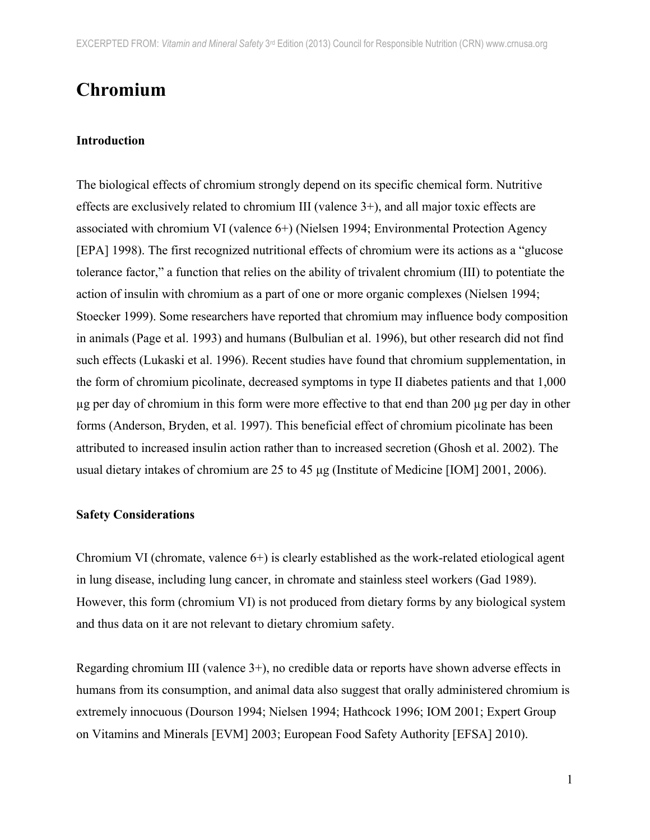# **Chromium**

#### **Introduction**

The biological effects of chromium strongly depend on its specific chemical form. Nutritive effects are exclusively related to chromium III (valence  $3+$ ), and all major toxic effects are associated with chromium VI (valence 6+) (Nielsen 1994; Environmental Protection Agency [EPA] 1998). The first recognized nutritional effects of chromium were its actions as a "glucose tolerance factor," a function that relies on the ability of trivalent chromium (III) to potentiate the action of insulin with chromium as a part of one or more organic complexes (Nielsen 1994; Stoecker 1999). Some researchers have reported that chromium may influence body composition in animals (Page et al. 1993) and humans (Bulbulian et al. 1996), but other research did not find such effects (Lukaski et al. 1996). Recent studies have found that chromium supplementation, in the form of chromium picolinate, decreased symptoms in type II diabetes patients and that 1,000 µg per day of chromium in this form were more effective to that end than 200 µg per day in other forms (Anderson, Bryden, et al. 1997). This beneficial effect of chromium picolinate has been attributed to increased insulin action rather than to increased secretion (Ghosh et al. 2002). The usual dietary intakes of chromium are 25 to 45 µg (Institute of Medicine [IOM] 2001, 2006).

## **Safety Considerations**

Chromium VI (chromate, valence  $6+)$  is clearly established as the work-related etiological agent in lung disease, including lung cancer, in chromate and stainless steel workers (Gad 1989). However, this form (chromium VI) is not produced from dietary forms by any biological system and thus data on it are not relevant to dietary chromium safety.

Regarding chromium III (valence 3+), no credible data or reports have shown adverse effects in humans from its consumption, and animal data also suggest that orally administered chromium is extremely innocuous (Dourson 1994; Nielsen 1994; Hathcock 1996; IOM 2001; Expert Group on Vitamins and Minerals [EVM] 2003; European Food Safety Authority [EFSA] 2010).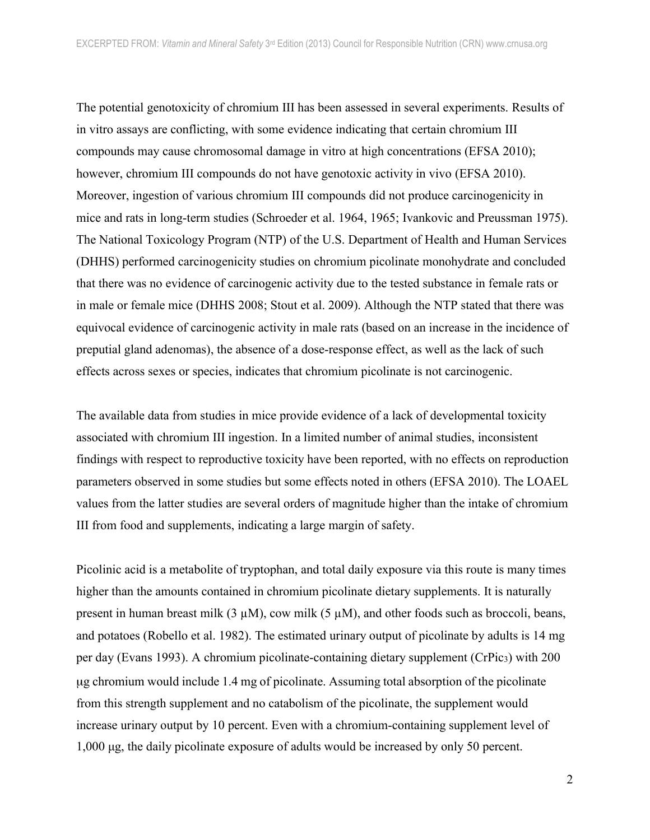The potential genotoxicity of chromium III has been assessed in several experiments. Results of in vitro assays are conflicting, with some evidence indicating that certain chromium III compounds may cause chromosomal damage in vitro at high concentrations (EFSA 2010); however, chromium III compounds do not have genotoxic activity in vivo (EFSA 2010). Moreover, ingestion of various chromium III compounds did not produce carcinogenicity in mice and rats in long-term studies (Schroeder et al. 1964, 1965; Ivankovic and Preussman 1975). The National Toxicology Program (NTP) of the U.S. Department of Health and Human Services (DHHS) performed carcinogenicity studies on chromium picolinate monohydrate and concluded that there was no evidence of carcinogenic activity due to the tested substance in female rats or in male or female mice (DHHS 2008; Stout et al. 2009). Although the NTP stated that there was equivocal evidence of carcinogenic activity in male rats (based on an increase in the incidence of preputial gland adenomas), the absence of a dose-response effect, as well as the lack of such effects across sexes or species, indicates that chromium picolinate is not carcinogenic.

The available data from studies in mice provide evidence of a lack of developmental toxicity associated with chromium III ingestion. In a limited number of animal studies, inconsistent findings with respect to reproductive toxicity have been reported, with no effects on reproduction parameters observed in some studies but some effects noted in others (EFSA 2010). The LOAEL values from the latter studies are several orders of magnitude higher than the intake of chromium III from food and supplements, indicating a large margin of safety.

Picolinic acid is a metabolite of tryptophan, and total daily exposure via this route is many times higher than the amounts contained in chromium picolinate dietary supplements. It is naturally present in human breast milk  $(3 \mu M)$ , cow milk  $(5 \mu M)$ , and other foods such as broccoli, beans, and potatoes (Robello et al. 1982). The estimated urinary output of picolinate by adults is 14 mg per day (Evans 1993). A chromium picolinate-containing dietary supplement (CrPic<sub>3</sub>) with 200 µg chromium would include 1.4 mg of picolinate. Assuming total absorption of the picolinate from this strength supplement and no catabolism of the picolinate, the supplement would increase urinary output by 10 percent. Even with a chromium-containing supplement level of 1,000 µg, the daily picolinate exposure of adults would be increased by only 50 percent.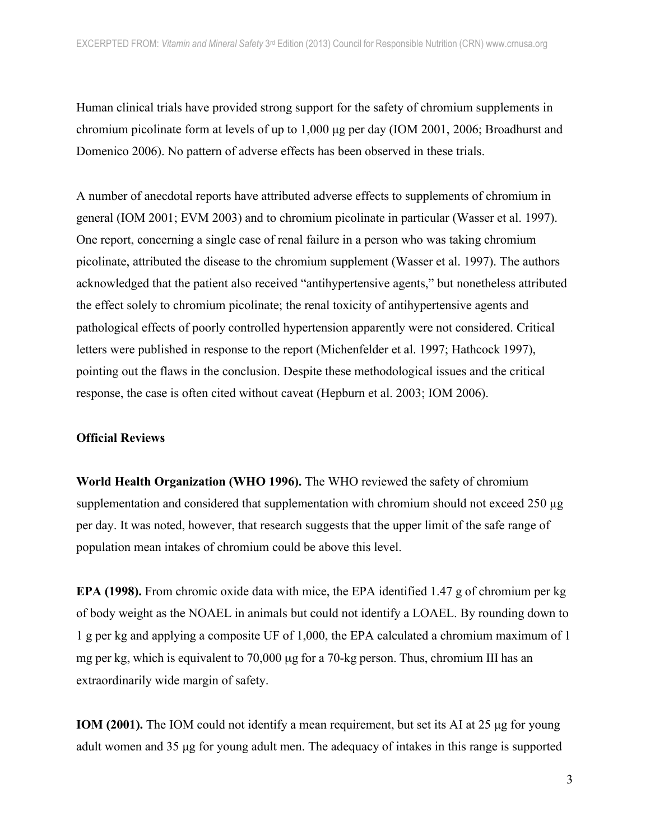Human clinical trials have provided strong support for the safety of chromium supplements in chromium picolinate form at levels of up to 1,000 µg per day (IOM 2001, 2006; Broadhurst and Domenico 2006). No pattern of adverse effects has been observed in these trials.

A number of anecdotal reports have attributed adverse effects to supplements of chromium in general (IOM 2001; EVM 2003) and to chromium picolinate in particular (Wasser et al. 1997). One report, concerning a single case of renal failure in a person who was taking chromium picolinate, attributed the disease to the chromium supplement (Wasser et al. 1997). The authors acknowledged that the patient also received "antihypertensive agents," but nonetheless attributed the effect solely to chromium picolinate; the renal toxicity of antihypertensive agents and pathological effects of poorly controlled hypertension apparently were not considered. Critical letters were published in response to the report (Michenfelder et al. 1997; Hathcock 1997), pointing out the flaws in the conclusion. Despite these methodological issues and the critical response, the case is often cited without caveat (Hepburn et al. 2003; IOM 2006).

## **Official Reviews**

**World Health Organization (WHO 1996).** The WHO reviewed the safety of chromium supplementation and considered that supplementation with chromium should not exceed 250 ug per day. It was noted, however, that research suggests that the upper limit of the safe range of population mean intakes of chromium could be above this level.

**EPA (1998).** From chromic oxide data with mice, the EPA identified 1.47 g of chromium per kg of body weight as the NOAEL in animals but could not identify a LOAEL. By rounding down to 1 g per kg and applying a composite UF of 1,000, the EPA calculated a chromium maximum of 1 mg per kg, which is equivalent to 70,000 µg for a 70-kg person. Thus, chromium III has an extraordinarily wide margin of safety.

**IOM (2001).** The IOM could not identify a mean requirement, but set its AI at 25 ug for young adult women and 35 µg for young adult men. The adequacy of intakes in this range is supported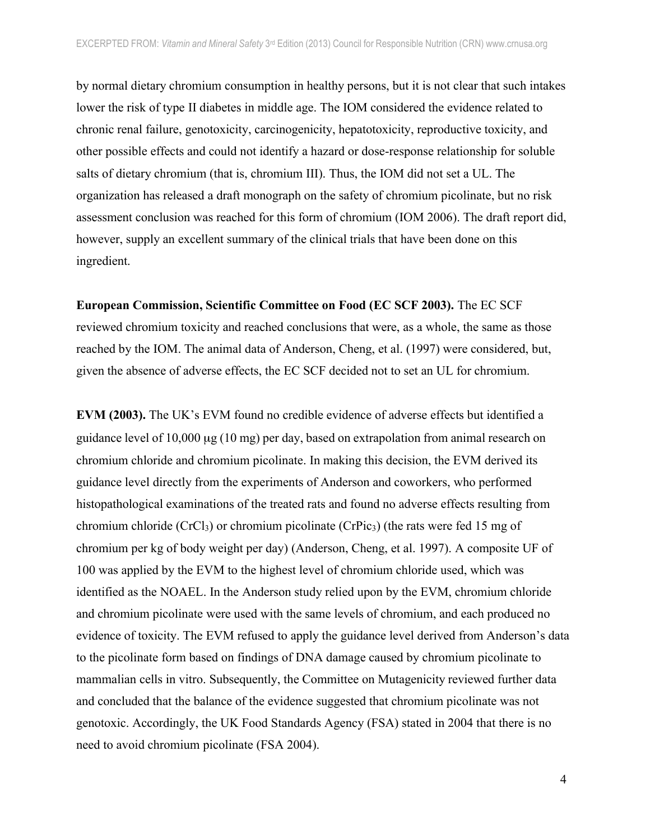by normal dietary chromium consumption in healthy persons, but it is not clear that such intakes lower the risk of type II diabetes in middle age. The IOM considered the evidence related to chronic renal failure, genotoxicity, carcinogenicity, hepatotoxicity, reproductive toxicity, and other possible effects and could not identify a hazard or dose-response relationship for soluble salts of dietary chromium (that is, chromium III). Thus, the IOM did not set a UL. The organization has released a draft monograph on the safety of chromium picolinate, but no risk assessment conclusion was reached for this form of chromium (IOM 2006). The draft report did, however, supply an excellent summary of the clinical trials that have been done on this ingredient.

**European Commission, Scientific Committee on Food (EC SCF 2003).** The EC SCF reviewed chromium toxicity and reached conclusions that were, as a whole, the same as those reached by the IOM. The animal data of Anderson, Cheng, et al. (1997) were considered, but, given the absence of adverse effects, the EC SCF decided not to set an UL for chromium.

**EVM (2003).** The UK's EVM found no credible evidence of adverse effects but identified a guidance level of 10,000 µg (10 mg) per day, based on extrapolation from animal research on chromium chloride and chromium picolinate. In making this decision, the EVM derived its guidance level directly from the experiments of Anderson and coworkers, who performed histopathological examinations of the treated rats and found no adverse effects resulting from chromium chloride (CrCl<sub>3</sub>) or chromium picolinate (CrPic<sub>3</sub>) (the rats were fed 15 mg of chromium per kg of body weight per day) (Anderson, Cheng, et al. 1997). A composite UF of 100 was applied by the EVM to the highest level of chromium chloride used, which was identified as the NOAEL. In the Anderson study relied upon by the EVM, chromium chloride and chromium picolinate were used with the same levels of chromium, and each produced no evidence of toxicity. The EVM refused to apply the guidance level derived from Anderson's data to the picolinate form based on findings of DNA damage caused by chromium picolinate to mammalian cells in vitro. Subsequently, the Committee on Mutagenicity reviewed further data and concluded that the balance of the evidence suggested that chromium picolinate was not genotoxic. Accordingly, the UK Food Standards Agency (FSA) stated in 2004 that there is no need to avoid chromium picolinate (FSA 2004).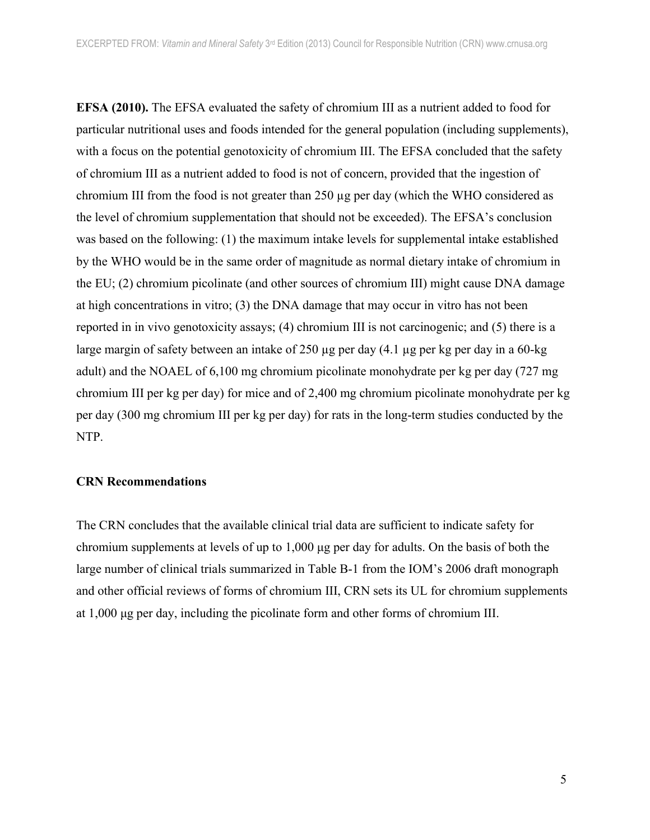**EFSA (2010).** The EFSA evaluated the safety of chromium III as a nutrient added to food for particular nutritional uses and foods intended for the general population (including supplements), with a focus on the potential genotoxicity of chromium III. The EFSA concluded that the safety of chromium III as a nutrient added to food is not of concern, provided that the ingestion of chromium III from the food is not greater than 250 µg per day (which the WHO considered as the level of chromium supplementation that should not be exceeded). The EFSA's conclusion was based on the following: (1) the maximum intake levels for supplemental intake established by the WHO would be in the same order of magnitude as normal dietary intake of chromium in the EU; (2) chromium picolinate (and other sources of chromium III) might cause DNA damage at high concentrations in vitro; (3) the DNA damage that may occur in vitro has not been reported in in vivo genotoxicity assays; (4) chromium III is not carcinogenic; and (5) there is a large margin of safety between an intake of 250 µg per day (4.1 µg per kg per day in a 60-kg adult) and the NOAEL of 6,100 mg chromium picolinate monohydrate per kg per day (727 mg chromium III per kg per day) for mice and of 2,400 mg chromium picolinate monohydrate per kg per day (300 mg chromium III per kg per day) for rats in the long-term studies conducted by the NTP.

#### **CRN Recommendations**

The CRN concludes that the available clinical trial data are sufficient to indicate safety for chromium supplements at levels of up to 1,000 µg per day for adults. On the basis of both the large number of clinical trials summarized in Table B-1 from the IOM's 2006 draft monograph and other official reviews of forms of chromium III, CRN sets its UL for chromium supplements at 1,000 µg per day, including the picolinate form and other forms of chromium III.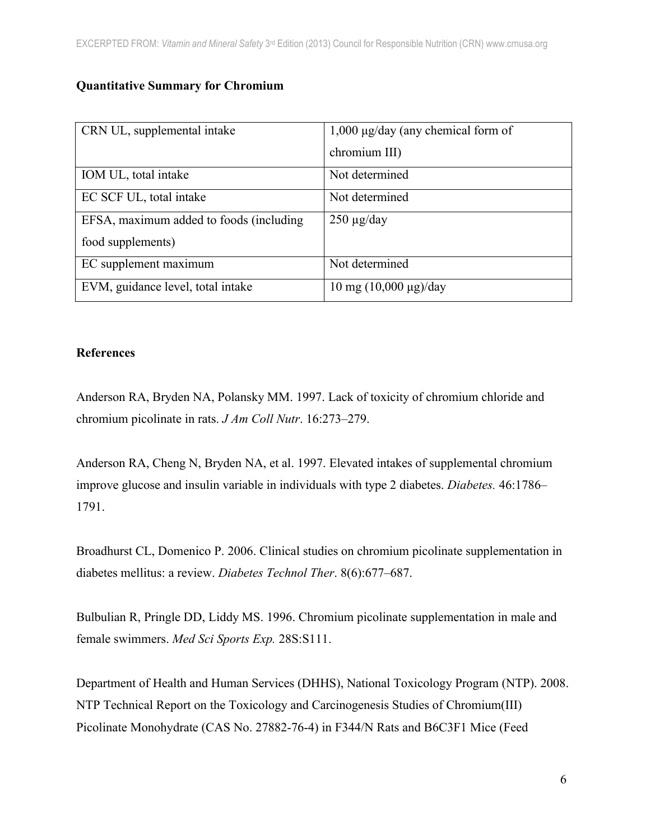# **Quantitative Summary for Chromium**

| CRN UL, supplemental intake              | $1,000 \mu g/day$ (any chemical form of   |
|------------------------------------------|-------------------------------------------|
|                                          | chromium III)                             |
| IOM UL, total intake                     | Not determined                            |
| EC SCF UL, total intake                  | Not determined                            |
| EFSA, maximum added to foods (including) | $250 \mu g/day$                           |
| food supplements)                        |                                           |
| EC supplement maximum                    | Not determined                            |
| EVM, guidance level, total intake        | $10 \text{ mg } (10,000 \text{ µg})$ /day |

# **References**

Anderson RA, Bryden NA, Polansky MM. 1997. Lack of toxicity of chromium chloride and chromium picolinate in rats. *J Am Coll Nutr*. 16:273–279.

Anderson RA, Cheng N, Bryden NA, et al. 1997. Elevated intakes of supplemental chromium improve glucose and insulin variable in individuals with type 2 diabetes. *Diabetes.* 46:1786– 1791.

Broadhurst CL, Domenico P. 2006. Clinical studies on chromium picolinate supplementation in diabetes mellitus: a review. *Diabetes Technol Ther*. 8(6):677–687.

Bulbulian R, Pringle DD, Liddy MS. 1996. Chromium picolinate supplementation in male and female swimmers. *Med Sci Sports Exp.* 28S:S111.

Department of Health and Human Services (DHHS), National Toxicology Program (NTP). 2008. NTP Technical Report on the Toxicology and Carcinogenesis Studies of Chromium(III) Picolinate Monohydrate (CAS No. 27882-76-4) in F344/N Rats and B6C3F1 Mice (Feed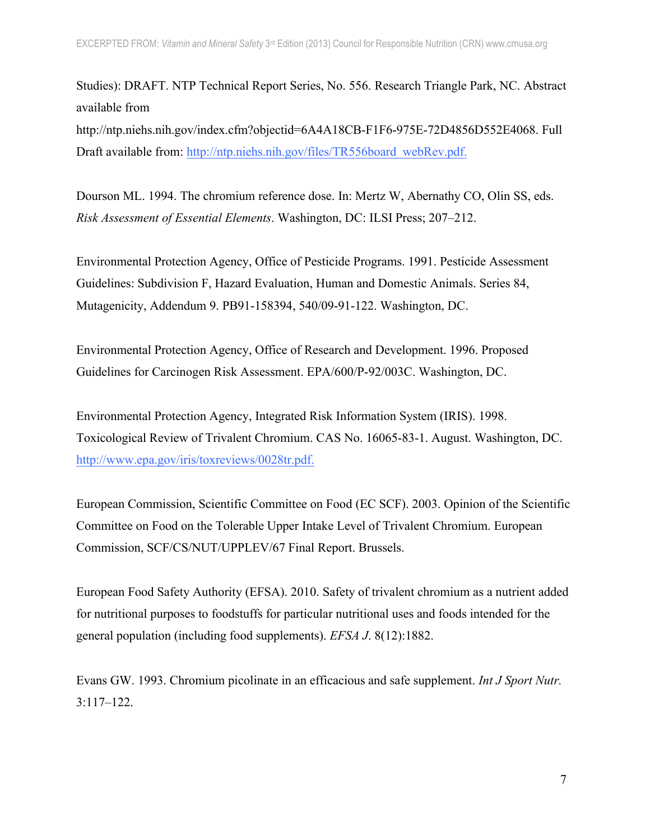Studies): DRAFT. NTP Technical Report Series, No. 556. Research Triangle Park, NC. Abstract available from

http://ntp.niehs.nih.gov/index.cfm?objectid=6A4A18CB-F1F6-975E-72D4856D552E4068. Full Draft available from: http://ntp.niehs.nih.gov/files/TR556board\_webRev.pdf.

Dourson ML. 1994. The chromium reference dose. In: Mertz W, Abernathy CO, Olin SS, eds. *Risk Assessment of Essential Elements*. Washington, DC: ILSI Press; 207–212.

Environmental Protection Agency, Office of Pesticide Programs. 1991. Pesticide Assessment Guidelines: Subdivision F, Hazard Evaluation, Human and Domestic Animals. Series 84, Mutagenicity, Addendum 9. PB91-158394, 540/09-91-122. Washington, DC.

Environmental Protection Agency, Office of Research and Development. 1996. Proposed Guidelines for Carcinogen Risk Assessment. EPA/600/P-92/003C. Washington, DC.

Environmental Protection Agency, Integrated Risk Information System (IRIS). 1998. Toxicological Review of Trivalent Chromium. CAS No. 16065-83-1. August. Washington, DC. http://www.epa.gov/iris/toxreviews/0028tr.pdf.

European Commission, Scientific Committee on Food (EC SCF). 2003. Opinion of the Scientific Committee on Food on the Tolerable Upper Intake Level of Trivalent Chromium. European Commission, SCF/CS/NUT/UPPLEV/67 Final Report. Brussels.

European Food Safety Authority (EFSA). 2010. Safety of trivalent chromium as a nutrient added for nutritional purposes to foodstuffs for particular nutritional uses and foods intended for the general population (including food supplements). *EFSA J*. 8(12):1882.

Evans GW. 1993. Chromium picolinate in an efficacious and safe supplement. *Int J Sport Nutr.* 3:117–122.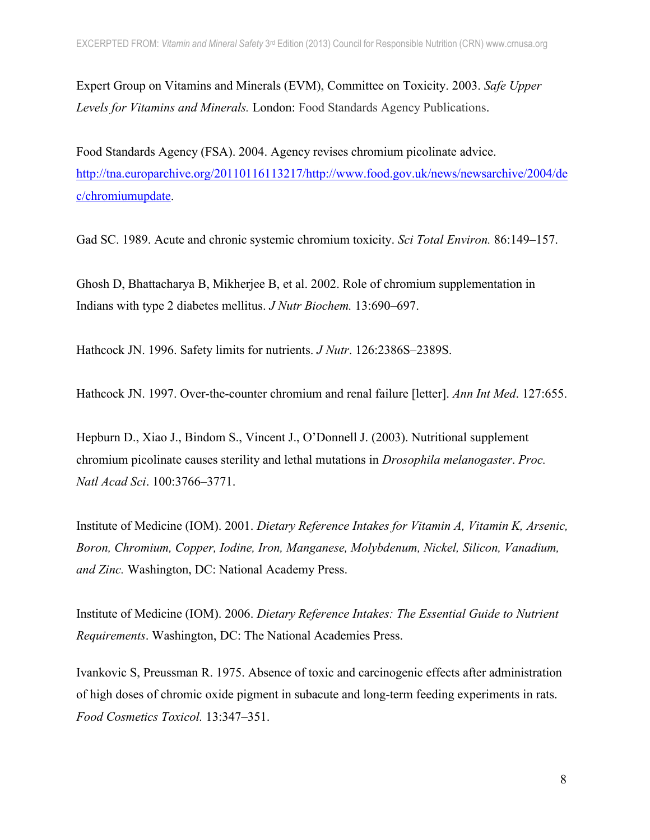Expert Group on Vitamins and Minerals (EVM), Committee on Toxicity. 2003. *Safe Upper Levels for Vitamins and Minerals.* London: Food Standards Agency Publications.

Food Standards Agency (FSA). 2004. Agency revises chromium picolinate advice. http://tna.europarchive.org/20110116113217/http://www.food.gov.uk/news/newsarchive/2004/de c/chromiumupdate.

Gad SC. 1989. Acute and chronic systemic chromium toxicity. *Sci Total Environ.* 86:149–157.

Ghosh D, Bhattacharya B, Mikherjee B, et al. 2002. Role of chromium supplementation in Indians with type 2 diabetes mellitus. *J Nutr Biochem.* 13:690–697.

Hathcock JN. 1996. Safety limits for nutrients. *J Nutr*. 126:2386S–2389S.

Hathcock JN. 1997. Over-the-counter chromium and renal failure [letter]. *Ann Int Med*. 127:655.

Hepburn D., Xiao J., Bindom S., Vincent J., O'Donnell J. (2003). Nutritional supplement chromium picolinate causes sterility and lethal mutations in *Drosophila melanogaster*. *Proc. Natl Acad Sci*. 100:3766–3771.

Institute of Medicine (IOM). 2001. *Dietary Reference Intakes for Vitamin A, Vitamin K, Arsenic, Boron, Chromium, Copper, Iodine, Iron, Manganese, Molybdenum, Nickel, Silicon, Vanadium, and Zinc.* Washington, DC: National Academy Press.

Institute of Medicine (IOM). 2006. *Dietary Reference Intakes: The Essential Guide to Nutrient Requirements*. Washington, DC: The National Academies Press.

Ivankovic S, Preussman R. 1975. Absence of toxic and carcinogenic effects after administration of high doses of chromic oxide pigment in subacute and long-term feeding experiments in rats. *Food Cosmetics Toxicol.* 13:347–351.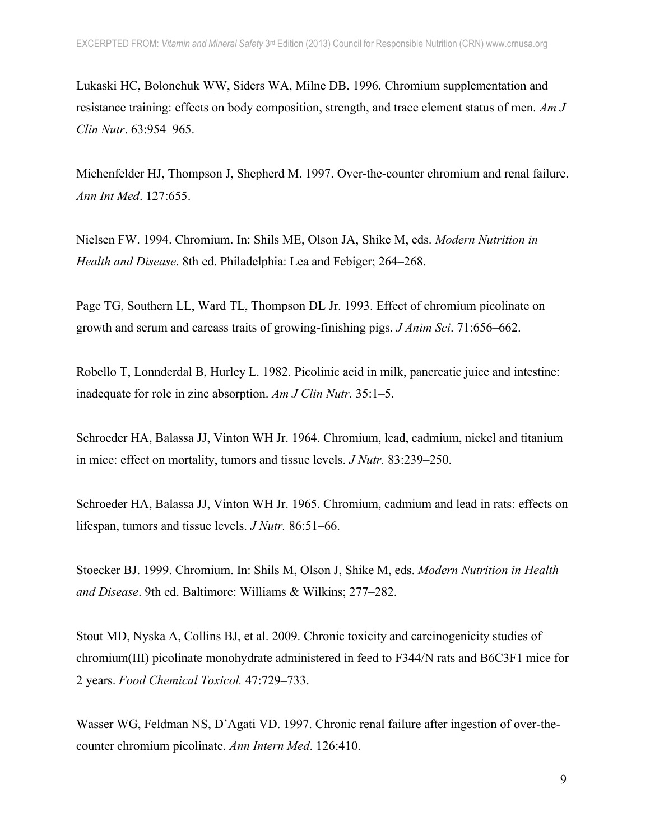Lukaski HC, Bolonchuk WW, Siders WA, Milne DB. 1996. Chromium supplementation and resistance training: effects on body composition, strength, and trace element status of men. *Am J Clin Nutr*. 63:954–965.

Michenfelder HJ, Thompson J, Shepherd M. 1997. Over-the-counter chromium and renal failure. *Ann Int Med*. 127:655.

Nielsen FW. 1994. Chromium. In: Shils ME, Olson JA, Shike M, eds. *Modern Nutrition in Health and Disease*. 8th ed. Philadelphia: Lea and Febiger; 264–268.

Page TG, Southern LL, Ward TL, Thompson DL Jr. 1993. Effect of chromium picolinate on growth and serum and carcass traits of growing-finishing pigs. *J Anim Sci*. 71:656–662.

Robello T, Lonnderdal B, Hurley L. 1982. Picolinic acid in milk, pancreatic juice and intestine: inadequate for role in zinc absorption. *Am J Clin Nutr.* 35:1–5.

Schroeder HA, Balassa JJ, Vinton WH Jr. 1964. Chromium, lead, cadmium, nickel and titanium in mice: effect on mortality, tumors and tissue levels. *J Nutr.* 83:239–250.

Schroeder HA, Balassa JJ, Vinton WH Jr. 1965. Chromium, cadmium and lead in rats: effects on lifespan, tumors and tissue levels. *J Nutr.* 86:51–66.

Stoecker BJ. 1999. Chromium. In: Shils M, Olson J, Shike M, eds. *Modern Nutrition in Health and Disease*. 9th ed. Baltimore: Williams & Wilkins; 277–282.

Stout MD, Nyska A, Collins BJ, et al. 2009. Chronic toxicity and carcinogenicity studies of chromium(III) picolinate monohydrate administered in feed to F344/N rats and B6C3F1 mice for 2 years. *Food Chemical Toxicol.* 47:729–733.

Wasser WG, Feldman NS, D'Agati VD. 1997. Chronic renal failure after ingestion of over-thecounter chromium picolinate. *Ann Intern Med*. 126:410.